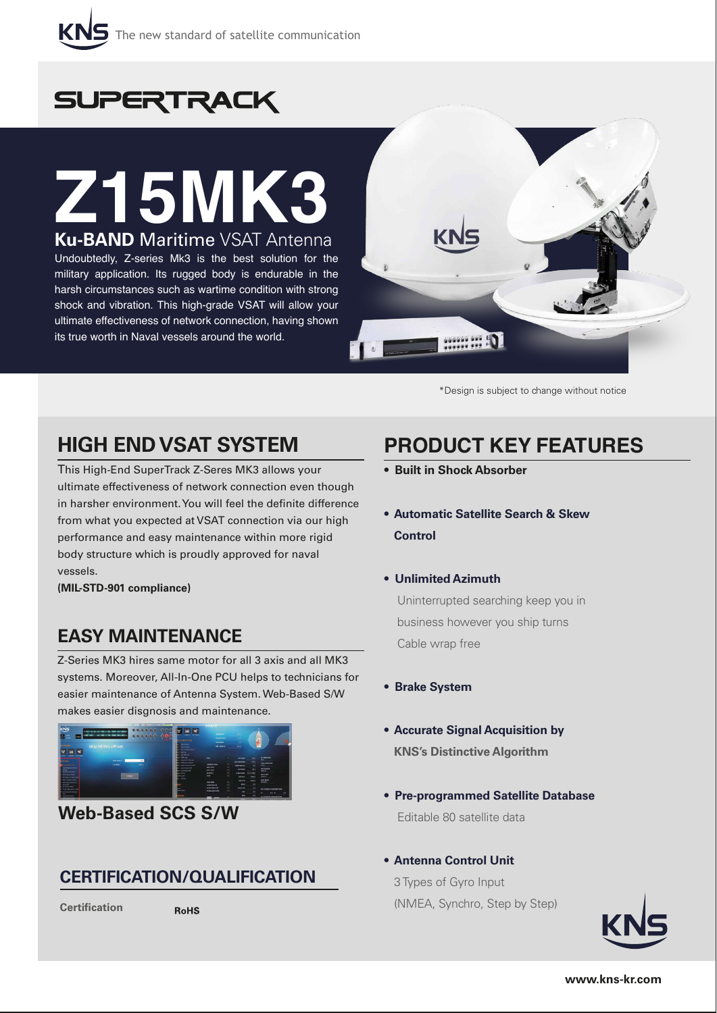

# **SUPERTRACK**

# **Z15MK3 Ku-BAND** Maritime VSAT Antenna

Undoubtedly, Z-series Mk3 is the best solution for the military application. Its rugged body is endurable in the harsh circumstances such as wartime condition with strong shock and vibration. This high-grade VSAT will allow your ultimate effectiveness of network connection, having shown its true worth in Naval vessels around the world.



\*Design is subject to change without notice

### **HIGH END VSAT SYSTEM**

This High-End SuperTrack Z-Seres MK3 allows your ultimate effectiveness of network connection even though in harsher environment. You will feel the definite difference from what you expected at VSAT connection via our high performance and easy maintenance within more rigid body structure which is proudly approved for naval vessels.

**(MIL-STD-901 compliance)**

#### **EASY MAINTENANCE**

Z-Series MK3 hires same motor for all 3 axis and all MK3 systems. Moreover, All-In-One PCU helps to technicians for easier maintenance of Antenna System. Web-Based S/W makes easier disgnosis and maintenance.



#### **Web-Based SCS S/W**

#### **CERTIFICATION/QUALIFICATION**

**Certification** 

**RoHS** 

## **PRODUCT KEY FEATURES**

- **Built in Shock Absorber**
- **Automatic Satellite Search & Skew Control**
- **Unlimited Azimuth**

 Uninterrupted searching keep you in business however you ship turns Cable wrap free

- **Brake System**
- **Accurate Signal Acquisition by KNS's Distinctive Algorithm**
- **Pre-programmed Satellite Database** Editable 80 satellite data
- **Antenna Control Unit**

 3 Types of Gyro Input (NMEA, Synchro, Step by Step)